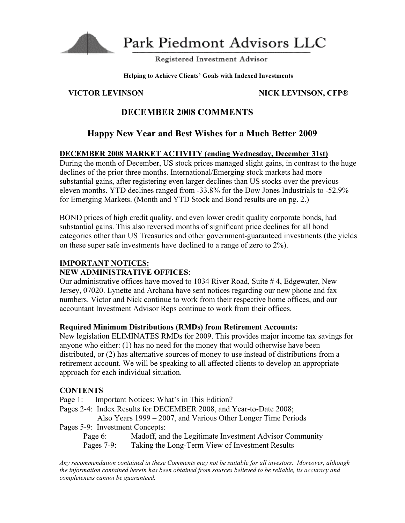

Park Piedmont Advisors LLC

Registered Investment Advisor

**Helping to Achieve Clients' Goals with Indexed Investments**

## **VICTOR LEVINSON NICK LEVINSON, CFP®**

# **DECEMBER 2008 COMMENTS**

# **Happy New Year and Best Wishes for a Much Better 2009**

## **DECEMBER 2008 MARKET ACTIVITY (ending Wednesday, December 31st)**

During the month of December, US stock prices managed slight gains, in contrast to the huge declines of the prior three months. International/Emerging stock markets had more substantial gains, after registering even larger declines than US stocks over the previous eleven months. YTD declines ranged from -33.8% for the Dow Jones Industrials to -52.9% for Emerging Markets. (Month and YTD Stock and Bond results are on pg. 2.)

BOND prices of high credit quality, and even lower credit quality corporate bonds, had substantial gains. This also reversed months of significant price declines for all bond categories other than US Treasuries and other government-guaranteed investments (the yields on these super safe investments have declined to a range of zero to 2%).

## **IMPORTANT NOTICES:**

## **NEW ADMINISTRATIVE OFFICES**:

Our administrative offices have moved to 1034 River Road, Suite # 4, Edgewater, New Jersey, 07020. Lynette and Archana have sent notices regarding our new phone and fax numbers. Victor and Nick continue to work from their respective home offices, and our accountant Investment Advisor Reps continue to work from their offices.

### **Required Minimum Distributions (RMDs) from Retirement Accounts:**

New legislation ELIMINATES RMDs for 2009. This provides major income tax savings for anyone who either: (1) has no need for the money that would otherwise have been distributed, or (2) has alternative sources of money to use instead of distributions from a retirement account. We will be speaking to all affected clients to develop an appropriate approach for each individual situation.

## **CONTENTS**

- Page 1: Important Notices: What's in This Edition?
- Pages 2-4: Index Results for DECEMBER 2008, and Year-to-Date 2008; Also Years 1999 – 2007, and Various Other Longer Time Periods
- Pages 5-9: Investment Concepts:
	- Page 6: Madoff, and the Legitimate Investment Advisor Community Pages 7-9: Taking the Long-Term View of Investment Results

*Any recommendation contained in these Comments may not be suitable for all investors. Moreover, although the information contained herein has been obtained from sources believed to be reliable, its accuracy and completeness cannot be guaranteed.*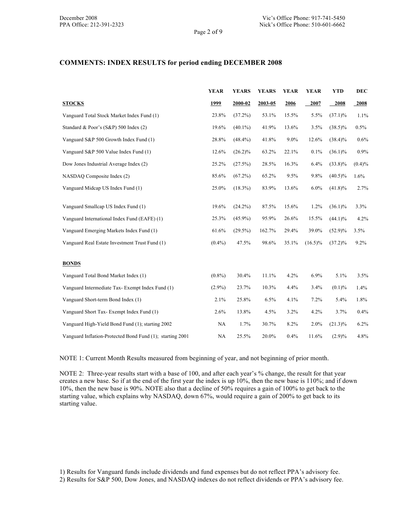#### **COMMENTS: INDEX RESULTS for period ending DECEMBER 2008**

|                                                           | <b>YEAR</b> | <b>YEARS</b> | <b>YEARS</b> | <b>YEAR</b> | <b>YEAR</b> | <b>YTD</b> | DEC       |
|-----------------------------------------------------------|-------------|--------------|--------------|-------------|-------------|------------|-----------|
| <b>STOCKS</b>                                             | 1999        | 2000-02      | 2003-05      | 2006        | 2007        | 2008       | 2008      |
| Vanguard Total Stock Market Index Fund (1)                | 23.8%       | $(37.2\%)$   | 53.1%        | 15.5%       | 5.5%        | $(37.1)\%$ | 1.1%      |
| Standard & Poor's (S&P) 500 Index (2)                     | 19.6%       | $(40.1\%)$   | 41.9%        | 13.6%       | 3.5%        | $(38.5)\%$ | 0.5%      |
| Vanguard S&P 500 Growth Index Fund (1)                    | 28.8%       | $(48.4\%)$   | 41.8%        | $9.0\%$     | 12.6%       | $(38.4)\%$ | 0.6%      |
| Vanguard S&P 500 Value Index Fund (1)                     | 12.6%       | $(26.2)\%$   | 63.2%        | 22.1%       | 0.1%        | $(36.1)\%$ | 0.9%      |
| Dow Jones Industrial Average Index (2)                    | 25.2%       | (27.5%)      | 28.5%        | 16.3%       | 6.4%        | $(33.8)\%$ | $(0.4)\%$ |
| NASDAQ Composite Index (2)                                | 85.6%       | $(67.2\%)$   | 65.2%        | 9.5%        | 9.8%        | $(40.5)\%$ | $1.6\%$   |
| Vanguard Midcap US Index Fund (1)                         | 25.0%       | $(18.3\%)$   | 83.9%        | 13.6%       | 6.0%        | $(41.8)\%$ | 2.7%      |
| Vanguard Smallcap US Index Fund (1)                       | 19.6%       | $(24.2\%)$   | 87.5%        | 15.6%       | 1.2%        | $(36.1)\%$ | 3.3%      |
| Vanguard International Index Fund (EAFE) (1)              | 25.3%       | $(45.9\%)$   | 95.9%        | 26.6%       | 15.5%       | $(44.1)\%$ | 4.2%      |
| Vanguard Emerging Markets Index Fund (1)                  | 61.6%       | $(29.5\%)$   | 162.7%       | 29.4%       | 39.0%       | $(52.9)\%$ | 3.5%      |
| Vanguard Real Estate Investment Trust Fund (1)            | $(0.4\%)$   | 47.5%        | 98.6%        | 35.1%       | $(16.5)\%$  | $(37.2)\%$ | 9.2%      |
| <b>BONDS</b>                                              |             |              |              |             |             |            |           |
| Vanguard Total Bond Market Index (1)                      | $(0.8\%)$   | 30.4%        | 11.1%        | 4.2%        | 6.9%        | 5.1%       | 3.5%      |
| Vanguard Intermediate Tax- Exempt Index Fund (1)          | $(2.9\%)$   | 23.7%        | 10.3%        | 4.4%        | 3.4%        | (0.1)%     | 1.4%      |
| Vanguard Short-term Bond Index (1)                        | 2.1%        | 25.8%        | 6.5%         | 4.1%        | 7.2%        | 5.4%       | 1.8%      |
| Vanguard Short Tax-Exempt Index Fund (1)                  | 2.6%        | 13.8%        | 4.5%         | 3.2%        | 4.2%        | 3.7%       | 0.4%      |
| Vanguard High-Yield Bond Fund (1); starting 2002          | NA          | 1.7%         | 30.7%        | 8.2%        | 2.0%        | $(21.3)\%$ | 6.2%      |
| Vanguard Inflation-Protected Bond Fund (1); starting 2001 | NA          | 25.5%        | 20.0%        | 0.4%        | 11.6%       | (2.9)%     | 4.8%      |

NOTE 1: Current Month Results measured from beginning of year, and not beginning of prior month.

NOTE 2: Three-year results start with a base of 100, and after each year's % change, the result for that year creates a new base. So if at the end of the first year the index is up 10%, then the new base is 110%; and if down 10%, then the new base is 90%. NOTE also that a decline of 50% requires a gain of 100% to get back to the starting value, which explains why NASDAQ, down 67%, would require a gain of 200% to get back to its starting value.

1) Results for Vanguard funds include dividends and fund expenses but do not reflect PPA's advisory fee.

2) Results for S&P 500, Dow Jones, and NASDAQ indexes do not reflect dividends or PPA's advisory fee.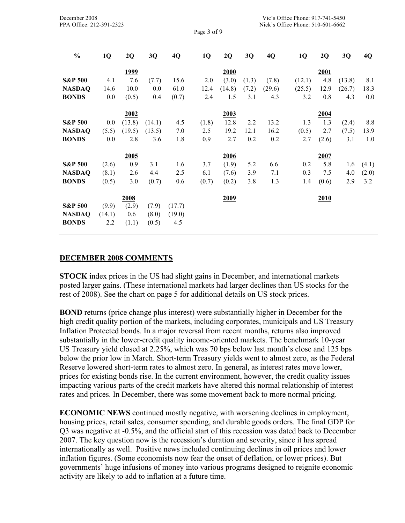Page 3 of 9

| $\frac{0}{0}$      | 1Q     | 2Q          | 3Q     | 4Q     | 1Q    | 2Q     | 3Q    | 4Q     | 1Q     | 2Q    | 3Q     | 4Q    |
|--------------------|--------|-------------|--------|--------|-------|--------|-------|--------|--------|-------|--------|-------|
|                    |        | <u>1999</u> |        |        |       | 2000   |       |        |        | 2001  |        |       |
| <b>S&amp;P 500</b> | 4.1    | 7.6         | (7.7)  | 15.6   | 2.0   | (3.0)  | (1.3) | (7.8)  | (12.1) | 4.8   | (13.8) | 8.1   |
| <b>NASDAQ</b>      | 14.6   | 10.0        | 0.0    | 61.0   | 12.4  | (14.8) | (7.2) | (29.6) | (25.5) | 12.9  | (26.7) | 18.3  |
| <b>BONDS</b>       | 0.0    | (0.5)       | 0.4    | (0.7)  | 2.4   | 1.5    | 3.1   | 4.3    | 3.2    | 0.8   | 4.3    | 0.0   |
|                    |        |             |        |        |       |        |       |        |        |       |        |       |
|                    |        | 2002        |        |        |       | 2003   |       |        |        | 2004  |        |       |
| <b>S&amp;P 500</b> | 0.0    | (13.8)      | (14.1) | 4.5    | (1.8) | 12.8   | 2.2   | 13.2   | 1.3    | 1.3   | (2.4)  | 8.8   |
| <b>NASDAQ</b>      | (5.5)  | (19.5)      | (13.5) | 7.0    | 2.5   | 19.2   | 12.1  | 16.2   | (0.5)  | 2.7   | (7.5)  | 13.9  |
| <b>BONDS</b>       | 0.0    | 2.8         | 3.6    | 1.8    | 0.9   | 2.7    | 0.2   | 0.2    | 2.7    | (2.6) | 3.1    | 1.0   |
|                    |        | 2005        |        |        |       | 2006   |       |        |        | 2007  |        |       |
| <b>S&amp;P 500</b> | (2.6)  | 0.9         | 3.1    | 1.6    | 3.7   | (1.9)  | 5.2   | 6.6    | 0.2    | 5.8   | 1.6    | (4.1) |
| <b>NASDAQ</b>      | (8.1)  | 2.6         | 4.4    | 2.5    | 6.1   | (7.6)  | 3.9   | 7.1    | 0.3    | 7.5   | 4.0    | (2.0) |
| <b>BONDS</b>       | (0.5)  | 3.0         | (0.7)  | 0.6    | (0.7) | (0.2)  | 3.8   | 1.3    | 1.4    | (0.6) | 2.9    | 3.2   |
|                    |        |             |        |        |       |        |       |        |        |       |        |       |
|                    |        | 2008        |        |        |       | 2009   |       |        |        | 2010  |        |       |
| <b>S&amp;P 500</b> | (9.9)  | (2.9)       | (7.9)  | (17.7) |       |        |       |        |        |       |        |       |
| <b>NASDAQ</b>      | (14.1) | 0.6         | (8.0)  | (19.0) |       |        |       |        |        |       |        |       |
| <b>BONDS</b>       | 2.2    | (1.1)       | (0.5)  | 4.5    |       |        |       |        |        |       |        |       |
|                    |        |             |        |        |       |        |       |        |        |       |        |       |

### **DECEMBER 2008 COMMENTS**

**STOCK** index prices in the US had slight gains in December, and international markets posted larger gains. (These international markets had larger declines than US stocks for the rest of 2008). See the chart on page 5 for additional details on US stock prices.

**BOND** returns (price change plus interest) were substantially higher in December for the high credit quality portion of the markets, including corporates, municipals and US Treasury Inflation Protected bonds. In a major reversal from recent months, returns also improved substantially in the lower-credit quality income-oriented markets. The benchmark 10-year US Treasury yield closed at 2.25%, which was 70 bps below last month's close and 125 bps below the prior low in March. Short-term Treasury yields went to almost zero, as the Federal Reserve lowered short-term rates to almost zero. In general, as interest rates move lower, prices for existing bonds rise. In the current environment, however, the credit quality issues impacting various parts of the credit markets have altered this normal relationship of interest rates and prices. In December, there was some movement back to more normal pricing.

**ECONOMIC NEWS** continued mostly negative, with worsening declines in employment, housing prices, retail sales, consumer spending, and durable goods orders. The final GDP for Q3 was negative at -0.5%, and the official start of this recession was dated back to December 2007. The key question now is the recession's duration and severity, since it has spread internationally as well. Positive news included continuing declines in oil prices and lower inflation figures. (Some economists now fear the onset of deflation, or lower prices). But governments' huge infusions of money into various programs designed to reignite economic activity are likely to add to inflation at a future time.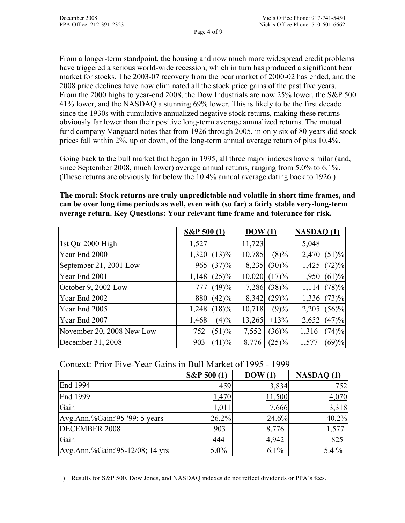From a longer-term standpoint, the housing and now much more widespread credit problems have triggered a serious world-wide recession, which in turn has produced a significant bear market for stocks. The 2003-07 recovery from the bear market of 2000-02 has ended, and the 2008 price declines have now eliminated all the stock price gains of the past five years. From the 2000 highs to year-end 2008, the Dow Industrials are now 25% lower, the S&P 500 41% lower, and the NASDAQ a stunning 69% lower. This is likely to be the first decade since the 1930s with cumulative annualized negative stock returns, making these returns obviously far lower than their positive long-term average annualized returns. The mutual fund company Vanguard notes that from 1926 through 2005, in only six of 80 years did stock prices fall within 2%, up or down, of the long-term annual average return of plus 10.4%.

Going back to the bull market that began in 1995, all three major indexes have similar (and, since September 2008, much lower) average annual returns, ranging from 5.0% to 6.1%. (These returns are obviously far below the 10.4% annual average dating back to 1926.)

**The moral: Stock returns are truly unpredictable and volatile in short time frames, and can be over long time periods as well, even with (so far) a fairly stable very-long-term average return. Key Questions: Your relevant time frame and tolerance for risk.** 

|                           | $S\&P 500(1)$ |               | $\overline{DOW(1)}$ |          | NASDAQ(1) |          |
|---------------------------|---------------|---------------|---------------------|----------|-----------|----------|
| 1st Qtr 2000 High         | 1,527         |               | 11,723              |          | 5,048     |          |
| Year End 2000             |               | $1,320$ (13)% | 10,785              | $(8)\%$  | 2,470     | (51)%    |
| September 21, 2001 Low    |               | $965$ (37)%   | 8,235               | $(30)\%$ | 1,425     | (72)%    |
| Year End 2001             | 1,148         | $(25)\%$      | 10,020              | (17)%    | 1,950     | (61)%    |
| October 9, 2002 Low       | 777I          | (49)%         | 7,286               | $(38)\%$ | 1,114     | (78)%    |
| Year End 2002             | 880           | (42)%         | 8,342               | (29)%    | 1,336     | (73)%    |
| Year End 2005             | 1,248         | $(18)\%$      | 10,718              | (9)%     | 2,205     | $(56)\%$ |
| Year End 2007             | 1,468         | (4)%          | 13,265              | $+13%$   | 2,652     | (47)%    |
| November 20, 2008 New Low | 752           | (51)%         | 7,552               | $(36)\%$ | 1,316     | (74)%    |
| December 31, 2008         | 903           | (41)%         | 8,776               | $(25)\%$ | 1,577     | (69)%    |

Context: Prior Five-Year Gains in Bull Market of 1995 - 1999

|                                 | $S\&P 500(1)$ | $\text{DOW}(1)$ | <b>NASDAQ (1)</b> |
|---------------------------------|---------------|-----------------|-------------------|
| End 1994                        | 459           | 3,834           | 752               |
| End 1999                        | 1,470         | 11,500          | 4,070             |
| Gain                            | 1,011         | 7,666           | 3,318             |
| Avg.Ann.%Gain:'95-'99; 5 years  | 26.2%         | 24.6%           | 40.2%             |
| <b>DECEMBER 2008</b>            | 903           | 8,776           | 1,577             |
| Gain                            | 444           | 4,942           | 825               |
| Avg.Ann.%Gain:'95-12/08; 14 yrs | $5.0\%$       | $6.1\%$         | $5.4\%$           |

1) Results for S&P 500, Dow Jones, and NASDAQ indexes do not reflect dividends or PPA's fees.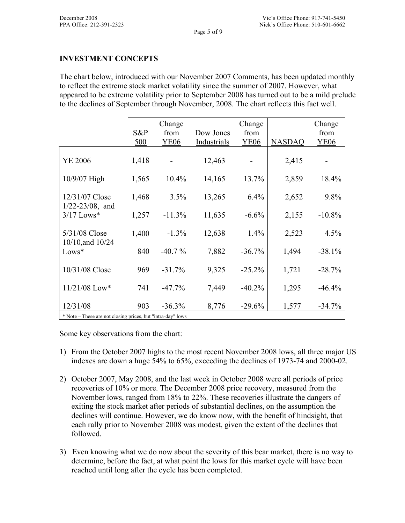## **INVESTMENT CONCEPTS**

The chart below, introduced with our November 2007 Comments, has been updated monthly to reflect the extreme stock market volatility since the summer of 2007. However, what appeared to be extreme volatility prior to September 2008 has turned out to be a mild prelude to the declines of September through November, 2008. The chart reflects this fact well.

|                                                                      | S&P<br>500 | Change<br>from<br><b>YE06</b> | Dow Jones<br>Industrials | Change<br>from<br><b>YE06</b> | <b>NASDAQ</b> | Change<br>from<br><b>YE06</b> |
|----------------------------------------------------------------------|------------|-------------------------------|--------------------------|-------------------------------|---------------|-------------------------------|
| YE 2006                                                              | 1,418      |                               | 12,463                   |                               | 2,415         |                               |
| 10/9/07 High                                                         | 1,565      | $10.4\%$                      | 14,165                   | 13.7%                         | 2,859         | 18.4%                         |
| 12/31/07 Close                                                       | 1,468      | 3.5%                          | 13,265                   | 6.4%                          | 2,652         | 9.8%                          |
| $1/22 - 23/08$ , and<br>$3/17$ Lows*                                 | 1,257      | $-11.3%$                      | 11,635                   | $-6.6%$                       | 2,155         | $-10.8%$                      |
| 5/31/08 Close<br>10/10, and 10/24                                    | 1,400      | $-1.3%$                       | 12,638                   | 1.4%                          | 2,523         | 4.5%                          |
| $Lows*$                                                              | 840        | $-40.7\%$                     | 7,882                    | $-36.7%$                      | 1,494         | $-38.1%$                      |
| 10/31/08 Close                                                       | 969        | $-31.7%$                      | 9,325                    | $-25.2%$                      | 1,721         | $-28.7%$                      |
| $11/21/08$ Low*                                                      | 741        | $-47.7\%$                     | 7,449                    | $-40.2\%$                     | 1,295         | $-46.4%$                      |
| 12/31/08<br>* Note These are not closing prices but "intro day" lows | 903        | $-36.3%$                      | 8,776                    | $-29.6%$                      | 1,577         | $-34.7%$                      |

\* Note – These are not closing prices, but "intra-day" lows

Some key observations from the chart:

- 1) From the October 2007 highs to the most recent November 2008 lows, all three major US indexes are down a huge 54% to 65%, exceeding the declines of 1973-74 and 2000-02.
- 2) October 2007, May 2008, and the last week in October 2008 were all periods of price recoveries of 10% or more. The December 2008 price recovery, measured from the November lows, ranged from 18% to 22%. These recoveries illustrate the dangers of exiting the stock market after periods of substantial declines, on the assumption the declines will continue. However, we do know now, with the benefit of hindsight, that each rally prior to November 2008 was modest, given the extent of the declines that followed.
- 3) Even knowing what we do now about the severity of this bear market, there is no way to determine, before the fact, at what point the lows for this market cycle will have been reached until long after the cycle has been completed.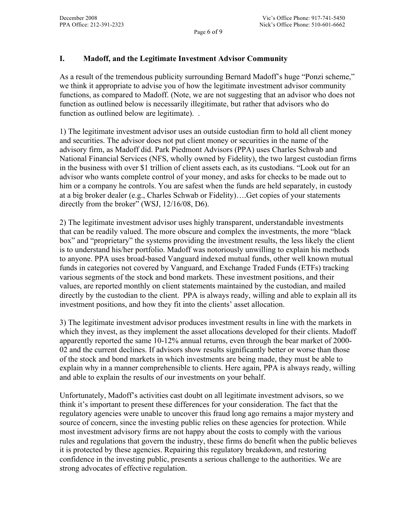## **I. Madoff, and the Legitimate Investment Advisor Community**

As a result of the tremendous publicity surrounding Bernard Madoff's huge "Ponzi scheme," we think it appropriate to advise you of how the legitimate investment advisor community functions, as compared to Madoff. (Note, we are not suggesting that an advisor who does not function as outlined below is necessarily illegitimate, but rather that advisors who do function as outlined below are legitimate). .

1) The legitimate investment advisor uses an outside custodian firm to hold all client money and securities. The advisor does not put client money or securities in the name of the advisory firm, as Madoff did. Park Piedmont Advisors (PPA) uses Charles Schwab and National Financial Services (NFS, wholly owned by Fidelity), the two largest custodian firms in the business with over \$1 trillion of client assets each, as its custodians. "Look out for an advisor who wants complete control of your money, and asks for checks to be made out to him or a company he controls. You are safest when the funds are held separately, in custody at a big broker dealer (e.g., Charles Schwab or Fidelity)….Get copies of your statements directly from the broker" (WSJ, 12/16/08, D6).

2) The legitimate investment advisor uses highly transparent, understandable investments that can be readily valued. The more obscure and complex the investments, the more "black box" and "proprietary" the systems providing the investment results, the less likely the client is to understand his/her portfolio. Madoff was notoriously unwilling to explain his methods to anyone. PPA uses broad-based Vanguard indexed mutual funds, other well known mutual funds in categories not covered by Vanguard, and Exchange Traded Funds (ETFs) tracking various segments of the stock and bond markets. These investment positions, and their values, are reported monthly on client statements maintained by the custodian, and mailed directly by the custodian to the client. PPA is always ready, willing and able to explain all its investment positions, and how they fit into the clients' asset allocation.

3) The legitimate investment advisor produces investment results in line with the markets in which they invest, as they implement the asset allocations developed for their clients. Madoff apparently reported the same 10-12% annual returns, even through the bear market of 2000- 02 and the current declines. If advisors show results significantly better or worse than those of the stock and bond markets in which investments are being made, they must be able to explain why in a manner comprehensible to clients. Here again, PPA is always ready, willing and able to explain the results of our investments on your behalf.

Unfortunately, Madoff's activities cast doubt on all legitimate investment advisors, so we think it's important to present these differences for your consideration. The fact that the regulatory agencies were unable to uncover this fraud long ago remains a major mystery and source of concern, since the investing public relies on these agencies for protection. While most investment advisory firms are not happy about the costs to comply with the various rules and regulations that govern the industry, these firms do benefit when the public believes it is protected by these agencies. Repairing this regulatory breakdown, and restoring confidence in the investing public, presents a serious challenge to the authorities. We are strong advocates of effective regulation.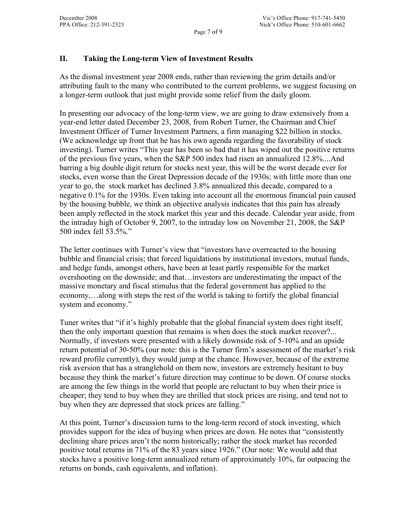## **II. Taking the Long-term View of Investment Results**

As the dismal investment year 2008 ends, rather than reviewing the grim details and/or attributing fault to the many who contributed to the current problems, we suggest focusing on a longer-term outlook that just might provide some relief from the daily gloom.

In presenting our advocacy of the long-term view, we are going to draw extensively from a year-end letter dated December 23, 2008, from Robert Turner, the Chairman and Chief Investment Officer of Turner Investment Partners, a firm managing \$22 billion in stocks. (We acknowledge up front that he has his own agenda regarding the favorability of stock investing). Turner writes "This year has been so bad that it has wiped out the positive returns of the previous five years, when the S&P 500 index had risen an annualized 12.8%....And barring a big double digit return for stocks next year, this will be the worst decade ever for stocks, even worse than the Great Depression decade of the 1930s; with little more than one year to go, the stock market has declined 3.8% annualized this decade, compared to a negative 0.1% for the 1930s. Even taking into account all the enormous financial pain caused by the housing bubble, we think an objective analysis indicates that this pain has already been amply reflected in the stock market this year and this decade. Calendar year aside, from the intraday high of October 9, 2007, to the intraday low on November 21, 2008, the S&P 500 index fell 53.5%."

The letter continues with Turner's view that "investors have overreacted to the housing bubble and financial crisis; that forced liquidations by institutional investors, mutual funds, and hedge funds, amongst others, have been at least partly responsible for the market overshooting on the downside; and that…investors are underestimating the impact of the massive monetary and fiscal stimulus that the federal government has applied to the economy,…along with steps the rest of the world is taking to fortify the global financial system and economy."

Tuner writes that "if it's highly probable that the global financial system does right itself, then the only important question that remains is when does the stock market recover?... Normally, if investors were presented with a likely downside risk of 5-10% and an upside return potential of 30-50% (our note: this is the Turner firm's assessment of the market's risk reward profile currently), they would jump at the chance. However, because of the extreme risk aversion that has a stranglehold on them now, investors are extremely hesitant to buy because they think the market's future direction may continue to be down. Of course stocks are among the few things in the world that people are reluctant to buy when their price is cheaper; they tend to buy when they are thrilled that stock prices are rising, and tend not to buy when they are depressed that stock prices are falling."

At this point, Turner's discussion turns to the long-term record of stock investing, which provides support for the idea of buying when prices are down. He notes that "consistently declining share prices aren't the norm historically; rather the stock market has recorded positive total returns in 71% of the 83 years since 1926." (Our note: We would add that stocks have a positive long-term annualized return of approximately 10%, far outpacing the returns on bonds, cash equivalents, and inflation).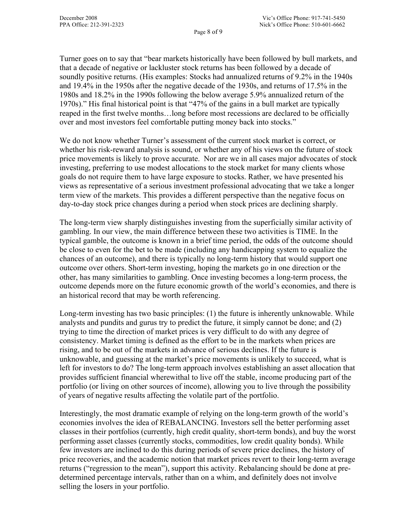Page 8 of 9

Turner goes on to say that "bear markets historically have been followed by bull markets, and that a decade of negative or lackluster stock returns has been followed by a decade of soundly positive returns. (His examples: Stocks had annualized returns of 9.2% in the 1940s and 19.4% in the 1950s after the negative decade of the 1930s, and returns of 17.5% in the 1980s and 18.2% in the 1990s following the below average 5.9% annualized return of the 1970s)." His final historical point is that "47% of the gains in a bull market are typically reaped in the first twelve months…long before most recessions are declared to be officially over and most investors feel comfortable putting money back into stocks."

We do not know whether Turner's assessment of the current stock market is correct, or whether his risk-reward analysis is sound, or whether any of his views on the future of stock price movements is likely to prove accurate. Nor are we in all cases major advocates of stock investing, preferring to use modest allocations to the stock market for many clients whose goals do not require them to have large exposure to stocks. Rather, we have presented his views as representative of a serious investment professional advocating that we take a longer term view of the markets. This provides a different perspective than the negative focus on day-to-day stock price changes during a period when stock prices are declining sharply.

The long-term view sharply distinguishes investing from the superficially similar activity of gambling. In our view, the main difference between these two activities is TIME. In the typical gamble, the outcome is known in a brief time period, the odds of the outcome should be close to even for the bet to be made (including any handicapping system to equalize the chances of an outcome), and there is typically no long-term history that would support one outcome over others. Short-term investing, hoping the markets go in one direction or the other, has many similarities to gambling. Once investing becomes a long-term process, the outcome depends more on the future economic growth of the world's economies, and there is an historical record that may be worth referencing.

Long-term investing has two basic principles: (1) the future is inherently unknowable. While analysts and pundits and gurus try to predict the future, it simply cannot be done; and (2) trying to time the direction of market prices is very difficult to do with any degree of consistency. Market timing is defined as the effort to be in the markets when prices are rising, and to be out of the markets in advance of serious declines. If the future is unknowable, and guessing at the market's price movements is unlikely to succeed, what is left for investors to do? The long-term approach involves establishing an asset allocation that provides sufficient financial wherewithal to live off the stable, income producing part of the portfolio (or living on other sources of income), allowing you to live through the possibility of years of negative results affecting the volatile part of the portfolio.

Interestingly, the most dramatic example of relying on the long-term growth of the world's economies involves the idea of REBALANCING. Investors sell the better performing asset classes in their portfolios (currently, high credit quality, short-term bonds), and buy the worst performing asset classes (currently stocks, commodities, low credit quality bonds). While few investors are inclined to do this during periods of severe price declines, the history of price recoveries, and the academic notion that market prices revert to their long-term average returns ("regression to the mean"), support this activity. Rebalancing should be done at predetermined percentage intervals, rather than on a whim, and definitely does not involve selling the losers in your portfolio.